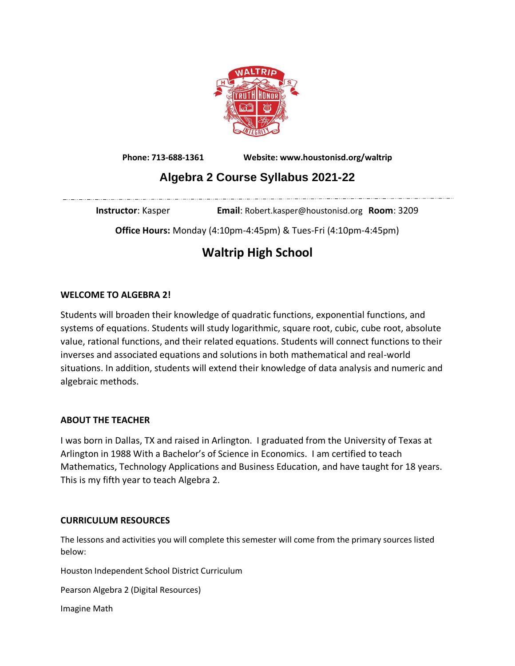

**Phone: 713-688-1361 Website: www.houstonisd.org/waltrip**

## **Algebra 2 Course Syllabus 2021-22**

**Instructor**: Kasper **Email**: Robert.kasper@houstonisd.org **Room**: 3209

**Office Hours:** Monday (4:10pm-4:45pm) & Tues-Fri (4:10pm-4:45pm)

# **Waltrip High School**

## **WELCOME TO ALGEBRA 2!**

Students will broaden their knowledge of quadratic functions, exponential functions, and systems of equations. Students will study logarithmic, square root, cubic, cube root, absolute value, rational functions, and their related equations. Students will connect functions to their inverses and associated equations and solutions in both mathematical and real-world situations. In addition, students will extend their knowledge of data analysis and numeric and algebraic methods.

## **ABOUT THE TEACHER**

I was born in Dallas, TX and raised in Arlington. I graduated from the University of Texas at Arlington in 1988 With a Bachelor's of Science in Economics. I am certified to teach Mathematics, Technology Applications and Business Education, and have taught for 18 years. This is my fifth year to teach Algebra 2.

## **CURRICULUM RESOURCES**

The lessons and activities you will complete this semester will come from the primary sources listed below:

Houston Independent School District Curriculum

Pearson Algebra 2 (Digital Resources)

Imagine Math